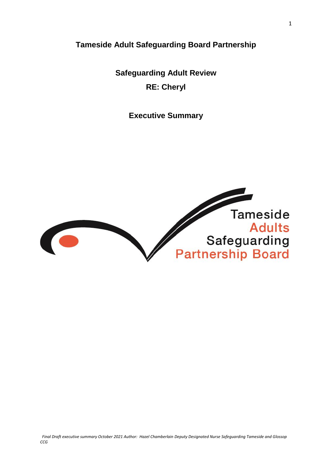**Tameside Adult Safeguarding Board Partnership**

**Safeguarding Adult Review RE: Cheryl**

**Executive Summary** 

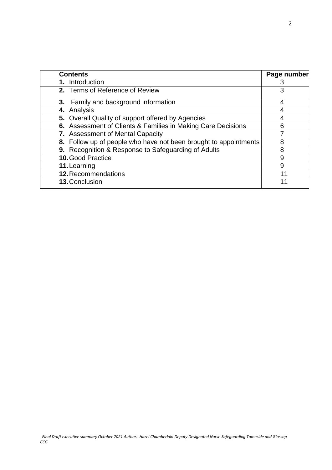| <b>Contents</b>                                                  | Page number |
|------------------------------------------------------------------|-------------|
| 1. Introduction                                                  | 3           |
| 2. Terms of Reference of Review                                  | 3           |
| 3. Family and background information                             | 4           |
| 4. Analysis                                                      | 4           |
| 5. Overall Quality of support offered by Agencies                |             |
| 6. Assessment of Clients & Families in Making Care Decisions     | 6           |
| 7. Assessment of Mental Capacity                                 |             |
| 8. Follow up of people who have not been brought to appointments | 8           |
| 9. Recognition & Response to Safeguarding of Adults              | 8           |
| <b>10. Good Practice</b>                                         | 9           |
| 11. Learning                                                     | 9           |
| 12. Recommendations                                              | 11          |
| 13. Conclusion                                                   |             |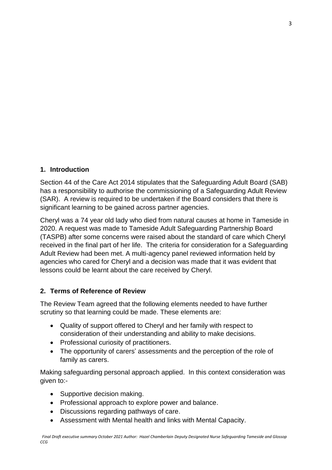### **1. Introduction**

Section 44 of the Care Act 2014 stipulates that the Safeguarding Adult Board (SAB) has a responsibility to authorise the commissioning of a Safeguarding Adult Review (SAR). A review is required to be undertaken if the Board considers that there is significant learning to be gained across partner agencies.

Cheryl was a 74 year old lady who died from natural causes at home in Tameside in 2020. A request was made to Tameside Adult Safeguarding Partnership Board (TASPB) after some concerns were raised about the standard of care which Cheryl received in the final part of her life. The criteria for consideration for a Safeguarding Adult Review had been met. A multi-agency panel reviewed information held by agencies who cared for Cheryl and a decision was made that it was evident that lessons could be learnt about the care received by Cheryl.

# **2. Terms of Reference of Review**

The Review Team agreed that the following elements needed to have further scrutiny so that learning could be made. These elements are:

- Quality of support offered to Cheryl and her family with respect to consideration of their understanding and ability to make decisions.
- Professional curiosity of practitioners.
- The opportunity of carers' assessments and the perception of the role of family as carers.

Making safeguarding personal approach applied. In this context consideration was given to:-

- Supportive decision making.
- Professional approach to explore power and balance.
- Discussions regarding pathways of care.
- Assessment with Mental health and links with Mental Capacity.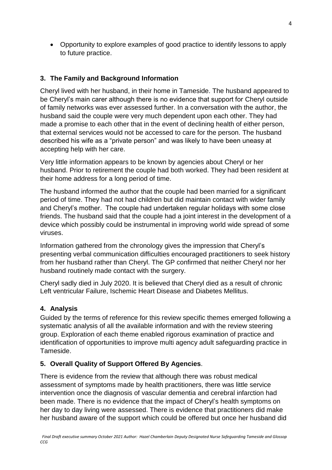Opportunity to explore examples of good practice to identify lessons to apply to future practice.

# **3. The Family and Background Information**

Cheryl lived with her husband, in their home in Tameside. The husband appeared to be Cheryl's main carer although there is no evidence that support for Cheryl outside of family networks was ever assessed further. In a conversation with the author, the husband said the couple were very much dependent upon each other. They had made a promise to each other that in the event of declining health of either person, that external services would not be accessed to care for the person. The husband described his wife as a "private person" and was likely to have been uneasy at accepting help with her care.

Very little information appears to be known by agencies about Cheryl or her husband. Prior to retirement the couple had both worked. They had been resident at their home address for a long period of time.

The husband informed the author that the couple had been married for a significant period of time. They had not had children but did maintain contact with wider family and Cheryl's mother. The couple had undertaken regular holidays with some close friends. The husband said that the couple had a joint interest in the development of a device which possibly could be instrumental in improving world wide spread of some viruses.

Information gathered from the chronology gives the impression that Cheryl's presenting verbal communication difficulties encouraged practitioners to seek history from her husband rather than Cheryl. The GP confirmed that neither Cheryl nor her husband routinely made contact with the surgery.

Cheryl sadly died in July 2020. It is believed that Cheryl died as a result of chronic Left ventricular Failure, Ischemic Heart Disease and Diabetes Mellitus.

# **4. Analysis**

Guided by the terms of reference for this review specific themes emerged following a systematic analysis of all the available information and with the review steering group. Exploration of each theme enabled rigorous examination of practice and identification of opportunities to improve multi agency adult safeguarding practice in Tameside.

### **5. Overall Quality of Support Offered By Agencies**.

There is evidence from the review that although there was robust medical assessment of symptoms made by health practitioners, there was little service intervention once the diagnosis of vascular dementia and cerebral infarction had been made. There is no evidence that the impact of Cheryl's health symptoms on her day to day living were assessed. There is evidence that practitioners did make her husband aware of the support which could be offered but once her husband did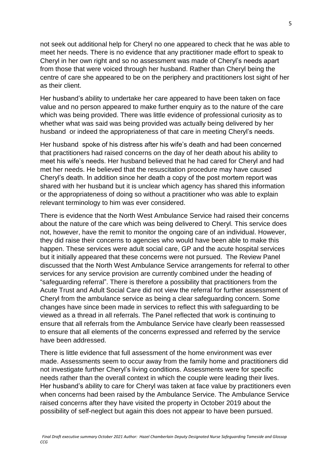not seek out additional help for Cheryl no one appeared to check that he was able to meet her needs. There is no evidence that any practitioner made effort to speak to Cheryl in her own right and so no assessment was made of Cheryl's needs apart from those that were voiced through her husband. Rather than Cheryl being the centre of care she appeared to be on the periphery and practitioners lost sight of her as their client.

Her husband's ability to undertake her care appeared to have been taken on face value and no person appeared to make further enquiry as to the nature of the care which was being provided. There was little evidence of professional curiosity as to whether what was said was being provided was actually being delivered by her husband or indeed the appropriateness of that care in meeting Cheryl's needs.

Her husband spoke of his distress after his wife's death and had been concerned that practitioners had raised concerns on the day of her death about his ability to meet his wife's needs. Her husband believed that he had cared for Cheryl and had met her needs. He believed that the resuscitation procedure may have caused Cheryl's death. In addition since her death a copy of the post mortem report was shared with her husband but it is unclear which agency has shared this information or the appropriateness of doing so without a practitioner who was able to explain relevant terminology to him was ever considered.

There is evidence that the North West Ambulance Service had raised their concerns about the nature of the care which was being delivered to Cheryl. This service does not, however, have the remit to monitor the ongoing care of an individual. However, they did raise their concerns to agencies who would have been able to make this happen. These services were adult social care, GP and the acute hospital services but it initially appeared that these concerns were not pursued. The Review Panel discussed that the North West Ambulance Service arrangements for referral to other services for any service provision are currently combined under the heading of "safeguarding referral". There is therefore a possibility that practitioners from the Acute Trust and Adult Social Care did not view the referral for further assessment of Cheryl from the ambulance service as being a clear safeguarding concern. Some changes have since been made in services to reflect this with safeguarding to be viewed as a thread in all referrals. The Panel reflected that work is continuing to ensure that all referrals from the Ambulance Service have clearly been reassessed to ensure that all elements of the concerns expressed and referred by the service have been addressed.

There is little evidence that full assessment of the home environment was ever made. Assessments seem to occur away from the family home and practitioners did not investigate further Cheryl's living conditions. Assessments were for specific needs rather than the overall context in which the couple were leading their lives. Her husband's ability to care for Cheryl was taken at face value by practitioners even when concerns had been raised by the Ambulance Service. The Ambulance Service raised concerns after they have visited the property in October 2019 about the possibility of self-neglect but again this does not appear to have been pursued.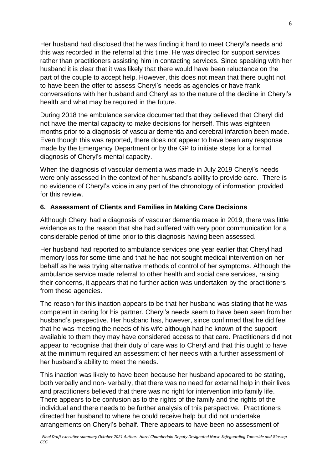Her husband had disclosed that he was finding it hard to meet Cheryl's needs and this was recorded in the referral at this time. He was directed for support services rather than practitioners assisting him in contacting services. Since speaking with her husband it is clear that it was likely that there would have been reluctance on the part of the couple to accept help. However, this does not mean that there ought not to have been the offer to assess Cheryl's needs as agencies or have frank conversations with her husband and Cheryl as to the nature of the decline in Cheryl's health and what may be required in the future.

During 2018 the ambulance service documented that they believed that Cheryl did not have the mental capacity to make decisions for herself. This was eighteen months prior to a diagnosis of vascular dementia and cerebral infarction been made. Even though this was reported, there does not appear to have been any response made by the Emergency Department or by the GP to initiate steps for a formal diagnosis of Cheryl's mental capacity.

When the diagnosis of vascular dementia was made in July 2019 Cheryl's needs were only assessed in the context of her husband's ability to provide care. There is no evidence of Cheryl's voice in any part of the chronology of information provided for this review.

### **6. Assessment of Clients and Families in Making Care Decisions**

Although Cheryl had a diagnosis of vascular dementia made in 2019, there was little evidence as to the reason that she had suffered with very poor communication for a considerable period of time prior to this diagnosis having been assessed.

Her husband had reported to ambulance services one year earlier that Cheryl had memory loss for some time and that he had not sought medical intervention on her behalf as he was trying alternative methods of control of her symptoms. Although the ambulance service made referral to other health and social care services, raising their concerns, it appears that no further action was undertaken by the practitioners from these agencies.

The reason for this inaction appears to be that her husband was stating that he was competent in caring for his partner. Cheryl's needs seem to have been seen from her husband's perspective. Her husband has, however, since confirmed that he did feel that he was meeting the needs of his wife although had he known of the support available to them they may have considered access to that care. Practitioners did not appear to recognise that their duty of care was to Cheryl and that this ought to have at the minimum required an assessment of her needs with a further assessment of her husband's ability to meet the needs.

This inaction was likely to have been because her husband appeared to be stating, both verbally and non- verbally, that there was no need for external help in their lives and practitioners believed that there was no right for intervention into family life. There appears to be confusion as to the rights of the family and the rights of the individual and there needs to be further analysis of this perspective. Practitioners directed her husband to where he could receive help but did not undertake arrangements on Cheryl's behalf. There appears to have been no assessment of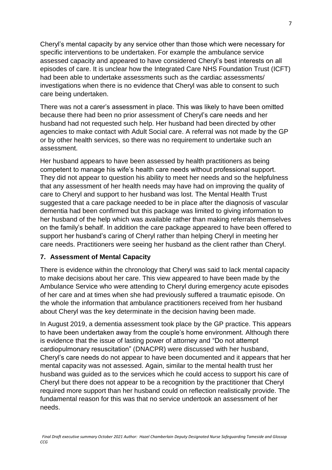Cheryl's mental capacity by any service other than those which were necessary for specific interventions to be undertaken. For example the ambulance service assessed capacity and appeared to have considered Cheryl's best interests on all episodes of care. It is unclear how the Integrated Care NHS Foundation Trust (ICFT) had been able to undertake assessments such as the cardiac assessments/ investigations when there is no evidence that Cheryl was able to consent to such care being undertaken.

There was not a carer's assessment in place. This was likely to have been omitted because there had been no prior assessment of Cheryl's care needs and her husband had not requested such help. Her husband had been directed by other agencies to make contact with Adult Social care. A referral was not made by the GP or by other health services, so there was no requirement to undertake such an assessment.

Her husband appears to have been assessed by health practitioners as being competent to manage his wife's health care needs without professional support. They did not appear to question his ability to meet her needs and so the helpfulness that any assessment of her health needs may have had on improving the quality of care to Cheryl and support to her husband was lost. The Mental Health Trust suggested that a care package needed to be in place after the diagnosis of vascular dementia had been confirmed but this package was limited to giving information to her husband of the help which was available rather than making referrals themselves on the family's behalf. In addition the care package appeared to have been offered to support her husband's caring of Cheryl rather than helping Cheryl in meeting her care needs. Practitioners were seeing her husband as the client rather than Cheryl.

### **7. Assessment of Mental Capacity**

There is evidence within the chronology that Cheryl was said to lack mental capacity to make decisions about her care. This view appeared to have been made by the Ambulance Service who were attending to Cheryl during emergency acute episodes of her care and at times when she had previously suffered a traumatic episode. On the whole the information that ambulance practitioners received from her husband about Cheryl was the key determinate in the decision having been made.

In August 2019, a dementia assessment took place by the GP practice. This appears to have been undertaken away from the couple's home environment. Although there is evidence that the issue of lasting power of attorney and "Do not attempt cardiopulmonary resuscitation" (DNACPR) were discussed with her husband, Cheryl's care needs do not appear to have been documented and it appears that her mental capacity was not assessed. Again, similar to the mental health trust her husband was guided as to the services which he could access to support his care of Cheryl but there does not appear to be a recognition by the practitioner that Cheryl required more support than her husband could on reflection realistically provide. The fundamental reason for this was that no service undertook an assessment of her needs.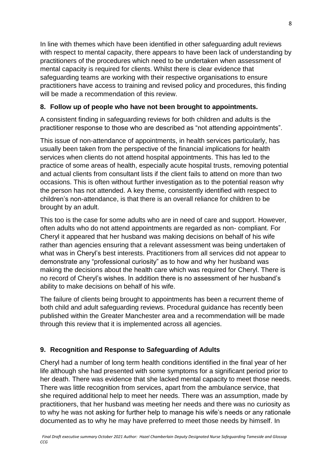In line with themes which have been identified in other safeguarding adult reviews with respect to mental capacity, there appears to have been lack of understanding by practitioners of the procedures which need to be undertaken when assessment of mental capacity is required for clients. Whilst there is clear evidence that safeguarding teams are working with their respective organisations to ensure practitioners have access to training and revised policy and procedures, this finding will be made a recommendation of this review.

### **8. Follow up of people who have not been brought to appointments.**

A consistent finding in safeguarding reviews for both children and adults is the practitioner response to those who are described as "not attending appointments".

This issue of non-attendance of appointments, in health services particularly, has usually been taken from the perspective of the financial implications for health services when clients do not attend hospital appointments. This has led to the practice of some areas of health, especially acute hospital trusts, removing potential and actual clients from consultant lists if the client fails to attend on more than two occasions. This is often without further investigation as to the potential reason why the person has not attended. A key theme, consistently identified with respect to children's non-attendance, is that there is an overall reliance for children to be brought by an adult.

This too is the case for some adults who are in need of care and support. However, often adults who do not attend appointments are regarded as non- compliant. For Cheryl it appeared that her husband was making decisions on behalf of his wife rather than agencies ensuring that a relevant assessment was being undertaken of what was in Cheryl's best interests. Practitioners from all services did not appear to demonstrate any "professional curiosity" as to how and why her husband was making the decisions about the health care which was required for Cheryl. There is no record of Cheryl's wishes. In addition there is no assessment of her husband's ability to make decisions on behalf of his wife.

The failure of clients being brought to appointments has been a recurrent theme of both child and adult safeguarding reviews. Procedural guidance has recently been published within the Greater Manchester area and a recommendation will be made through this review that it is implemented across all agencies.

# **9. Recognition and Response to Safeguarding of Adults**

Cheryl had a number of long term health conditions identified in the final year of her life although she had presented with some symptoms for a significant period prior to her death. There was evidence that she lacked mental capacity to meet those needs. There was little recognition from services, apart from the ambulance service, that she required additional help to meet her needs. There was an assumption, made by practitioners, that her husband was meeting her needs and there was no curiosity as to why he was not asking for further help to manage his wife's needs or any rationale documented as to why he may have preferred to meet those needs by himself. In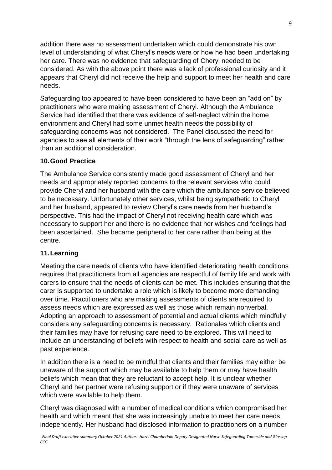addition there was no assessment undertaken which could demonstrate his own level of understanding of what Cheryl's needs were or how he had been undertaking her care. There was no evidence that safeguarding of Cheryl needed to be considered. As with the above point there was a lack of professional curiosity and it appears that Cheryl did not receive the help and support to meet her health and care needs.

Safeguarding too appeared to have been considered to have been an "add on" by practitioners who were making assessment of Cheryl. Although the Ambulance Service had identified that there was evidence of self-neglect within the home environment and Cheryl had some unmet health needs the possibility of safeguarding concerns was not considered. The Panel discussed the need for agencies to see all elements of their work "through the lens of safeguarding" rather than an additional consideration.

### **10.Good Practice**

The Ambulance Service consistently made good assessment of Cheryl and her needs and appropriately reported concerns to the relevant services who could provide Cheryl and her husband with the care which the ambulance service believed to be necessary. Unfortunately other services, whilst being sympathetic to Cheryl and her husband, appeared to review Cheryl's care needs from her husband's perspective. This had the impact of Cheryl not receiving health care which was necessary to support her and there is no evidence that her wishes and feelings had been ascertained. She became peripheral to her care rather than being at the centre.

### **11.Learning**

Meeting the care needs of clients who have identified deteriorating health conditions requires that practitioners from all agencies are respectful of family life and work with carers to ensure that the needs of clients can be met. This includes ensuring that the carer is supported to undertake a role which is likely to become more demanding over time. Practitioners who are making assessments of clients are required to assess needs which are expressed as well as those which remain nonverbal. Adopting an approach to assessment of potential and actual clients which mindfully considers any safeguarding concerns is necessary. Rationales which clients and their families may have for refusing care need to be explored. This will need to include an understanding of beliefs with respect to health and social care as well as past experience.

In addition there is a need to be mindful that clients and their families may either be unaware of the support which may be available to help them or may have health beliefs which mean that they are reluctant to accept help. It is unclear whether Cheryl and her partner were refusing support or if they were unaware of services which were available to help them.

Cheryl was diagnosed with a number of medical conditions which compromised her health and which meant that she was increasingly unable to meet her care needs independently. Her husband had disclosed information to practitioners on a number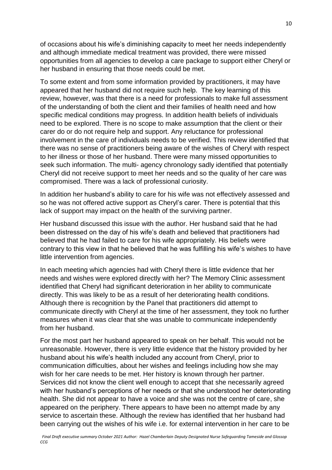of occasions about his wife's diminishing capacity to meet her needs independently and although immediate medical treatment was provided, there were missed opportunities from all agencies to develop a care package to support either Cheryl or her husband in ensuring that those needs could be met.

To some extent and from some information provided by practitioners, it may have appeared that her husband did not require such help. The key learning of this review, however, was that there is a need for professionals to make full assessment of the understanding of both the client and their families of health need and how specific medical conditions may progress. In addition health beliefs of individuals need to be explored. There is no scope to make assumption that the client or their carer do or do not require help and support. Any reluctance for professional involvement in the care of individuals needs to be verified. This review identified that there was no sense of practitioners being aware of the wishes of Cheryl with respect to her illness or those of her husband. There were many missed opportunities to seek such information. The multi- agency chronology sadly identified that potentially Cheryl did not receive support to meet her needs and so the quality of her care was compromised. There was a lack of professional curiosity.

In addition her husband's ability to care for his wife was not effectively assessed and so he was not offered active support as Cheryl's carer. There is potential that this lack of support may impact on the health of the surviving partner.

Her husband discussed this issue with the author. Her husband said that he had been distressed on the day of his wife's death and believed that practitioners had believed that he had failed to care for his wife appropriately. His beliefs were contrary to this view in that he believed that he was fulfilling his wife's wishes to have little intervention from agencies.

In each meeting which agencies had with Cheryl there is little evidence that her needs and wishes were explored directly with her? The Memory Clinic assessment identified that Cheryl had significant deterioration in her ability to communicate directly. This was likely to be as a result of her deteriorating health conditions. Although there is recognition by the Panel that practitioners did attempt to communicate directly with Cheryl at the time of her assessment, they took no further measures when it was clear that she was unable to communicate independently from her husband.

For the most part her husband appeared to speak on her behalf. This would not be unreasonable. However, there is very little evidence that the history provided by her husband about his wife's health included any account from Cheryl, prior to communication difficulties, about her wishes and feelings including how she may wish for her care needs to be met. Her history is known through her partner. Services did not know the client well enough to accept that she necessarily agreed with her husband's perceptions of her needs or that she understood her deteriorating health. She did not appear to have a voice and she was not the centre of care, she appeared on the periphery. There appears to have been no attempt made by any service to ascertain these. Although the review has identified that her husband had been carrying out the wishes of his wife i.e. for external intervention in her care to be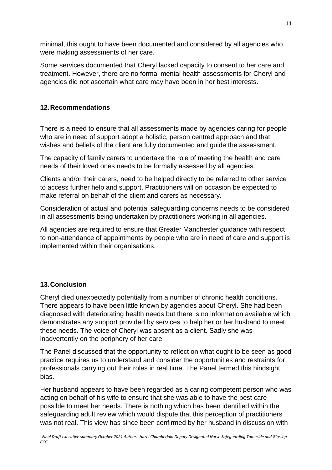minimal, this ought to have been documented and considered by all agencies who were making assessments of her care.

Some services documented that Cheryl lacked capacity to consent to her care and treatment. However, there are no formal mental health assessments for Cheryl and agencies did not ascertain what care may have been in her best interests.

# **12.Recommendations**

There is a need to ensure that all assessments made by agencies caring for people who are in need of support adopt a holistic, person centred approach and that wishes and beliefs of the client are fully documented and guide the assessment.

The capacity of family carers to undertake the role of meeting the health and care needs of their loved ones needs to be formally assessed by all agencies.

Clients and/or their carers, need to be helped directly to be referred to other service to access further help and support. Practitioners will on occasion be expected to make referral on behalf of the client and carers as necessary.

Consideration of actual and potential safeguarding concerns needs to be considered in all assessments being undertaken by practitioners working in all agencies.

All agencies are required to ensure that Greater Manchester guidance with respect to non-attendance of appointments by people who are in need of care and support is implemented within their organisations.

# **13.Conclusion**

Cheryl died unexpectedly potentially from a number of chronic health conditions. There appears to have been little known by agencies about Cheryl. She had been diagnosed with deteriorating health needs but there is no information available which demonstrates any support provided by services to help her or her husband to meet these needs. The voice of Cheryl was absent as a client. Sadly she was inadvertently on the periphery of her care.

The Panel discussed that the opportunity to reflect on what ought to be seen as good practice requires us to understand and consider the opportunities and restraints for professionals carrying out their roles in real time. The Panel termed this hindsight bias.

Her husband appears to have been regarded as a caring competent person who was acting on behalf of his wife to ensure that she was able to have the best care possible to meet her needs. There is nothing which has been identified within the safeguarding adult review which would dispute that this perception of practitioners was not real. This view has since been confirmed by her husband in discussion with